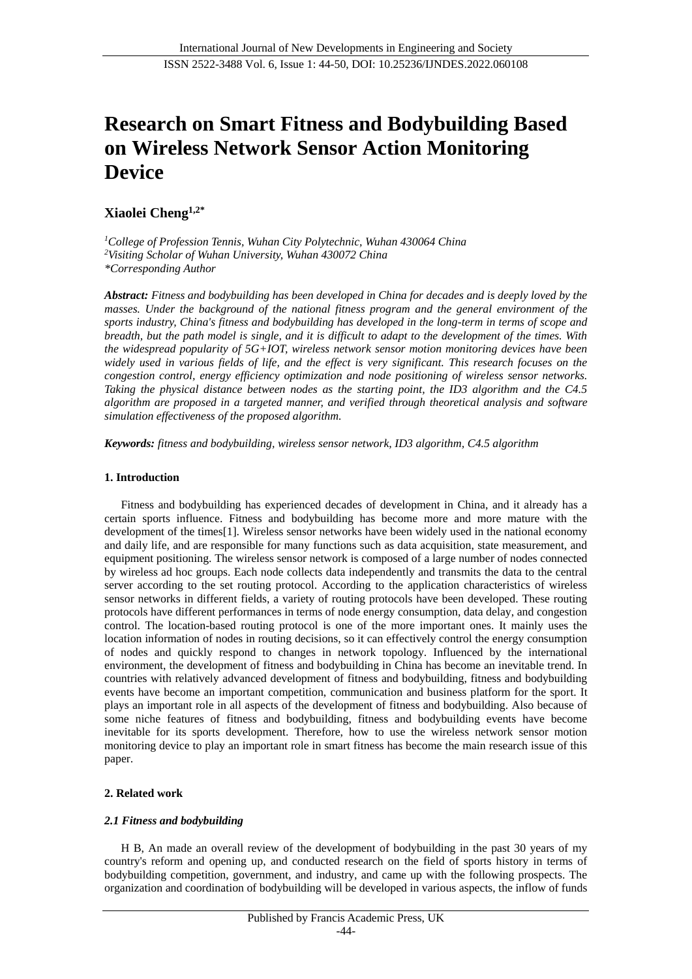# **Research on Smart Fitness and Bodybuilding Based on Wireless Network Sensor Action Monitoring Device**

# **Xiaolei Cheng1,2\***

*<sup>1</sup>College of Profession Tennis, Wuhan City Polytechnic, Wuhan 430064 China <sup>2</sup>Visiting Scholar of Wuhan University, Wuhan 430072 China \*Corresponding Author*

*Abstract: Fitness and bodybuilding has been developed in China for decades and is deeply loved by the masses. Under the background of the national fitness program and the general environment of the sports industry, China's fitness and bodybuilding has developed in the long-term in terms of scope and breadth, but the path model is single, and it is difficult to adapt to the development of the times. With the widespread popularity of 5G+IOT, wireless network sensor motion monitoring devices have been widely used in various fields of life, and the effect is very significant. This research focuses on the congestion control, energy efficiency optimization and node positioning of wireless sensor networks. Taking the physical distance between nodes as the starting point, the ID3 algorithm and the C4.5 algorithm are proposed in a targeted manner, and verified through theoretical analysis and software simulation effectiveness of the proposed algorithm.*

*Keywords: fitness and bodybuilding, wireless sensor network, ID3 algorithm, C4.5 algorithm*

## **1. Introduction**

Fitness and bodybuilding has experienced decades of development in China, and it already has a certain sports influence. Fitness and bodybuilding has become more and more mature with the development of the times[1]. Wireless sensor networks have been widely used in the national economy and daily life, and are responsible for many functions such as data acquisition, state measurement, and equipment positioning. The wireless sensor network is composed of a large number of nodes connected by wireless ad hoc groups. Each node collects data independently and transmits the data to the central server according to the set routing protocol. According to the application characteristics of wireless sensor networks in different fields, a variety of routing protocols have been developed. These routing protocols have different performances in terms of node energy consumption, data delay, and congestion control. The location-based routing protocol is one of the more important ones. It mainly uses the location information of nodes in routing decisions, so it can effectively control the energy consumption of nodes and quickly respond to changes in network topology. Influenced by the international environment, the development of fitness and bodybuilding in China has become an inevitable trend. In countries with relatively advanced development of fitness and bodybuilding, fitness and bodybuilding events have become an important competition, communication and business platform for the sport. It plays an important role in all aspects of the development of fitness and bodybuilding. Also because of some niche features of fitness and bodybuilding, fitness and bodybuilding events have become inevitable for its sports development. Therefore, how to use the wireless network sensor motion monitoring device to play an important role in smart fitness has become the main research issue of this paper.

# **2. Related work**

## *2.1 Fitness and bodybuilding*

H B, An made an overall review of the development of bodybuilding in the past 30 years of my country's reform and opening up, and conducted research on the field of sports history in terms of bodybuilding competition, government, and industry, and came up with the following prospects. The organization and coordination of bodybuilding will be developed in various aspects, the inflow of funds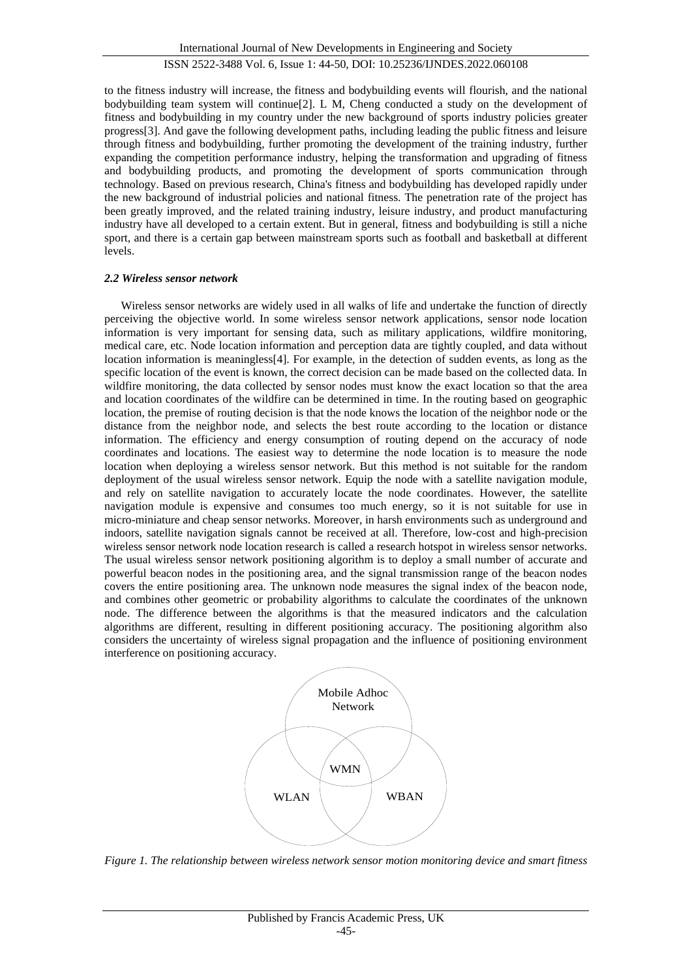to the fitness industry will increase, the fitness and bodybuilding events will flourish, and the national bodybuilding team system will continue[2]. L M, Cheng conducted a study on the development of fitness and bodybuilding in my country under the new background of sports industry policies greater progress[3]. And gave the following development paths, including leading the public fitness and leisure through fitness and bodybuilding, further promoting the development of the training industry, further expanding the competition performance industry, helping the transformation and upgrading of fitness and bodybuilding products, and promoting the development of sports communication through technology. Based on previous research, China's fitness and bodybuilding has developed rapidly under the new background of industrial policies and national fitness. The penetration rate of the project has been greatly improved, and the related training industry, leisure industry, and product manufacturing industry have all developed to a certain extent. But in general, fitness and bodybuilding is still a niche sport, and there is a certain gap between mainstream sports such as football and basketball at different levels.

## *2.2 Wireless sensor network*

Wireless sensor networks are widely used in all walks of life and undertake the function of directly perceiving the objective world. In some wireless sensor network applications, sensor node location information is very important for sensing data, such as military applications, wildfire monitoring, medical care, etc. Node location information and perception data are tightly coupled, and data without location information is meaningless[4]. For example, in the detection of sudden events, as long as the specific location of the event is known, the correct decision can be made based on the collected data. In wildfire monitoring, the data collected by sensor nodes must know the exact location so that the area and location coordinates of the wildfire can be determined in time. In the routing based on geographic location, the premise of routing decision is that the node knows the location of the neighbor node or the distance from the neighbor node, and selects the best route according to the location or distance information. The efficiency and energy consumption of routing depend on the accuracy of node coordinates and locations. The easiest way to determine the node location is to measure the node location when deploying a wireless sensor network. But this method is not suitable for the random deployment of the usual wireless sensor network. Equip the node with a satellite navigation module, and rely on satellite navigation to accurately locate the node coordinates. However, the satellite navigation module is expensive and consumes too much energy, so it is not suitable for use in micro-miniature and cheap sensor networks. Moreover, in harsh environments such as underground and indoors, satellite navigation signals cannot be received at all. Therefore, low-cost and high-precision wireless sensor network node location research is called a research hotspot in wireless sensor networks. The usual wireless sensor network positioning algorithm is to deploy a small number of accurate and powerful beacon nodes in the positioning area, and the signal transmission range of the beacon nodes covers the entire positioning area. The unknown node measures the signal index of the beacon node, and combines other geometric or probability algorithms to calculate the coordinates of the unknown node. The difference between the algorithms is that the measured indicators and the calculation algorithms are different, resulting in different positioning accuracy. The positioning algorithm also considers the uncertainty of wireless signal propagation and the influence of positioning environment interference on positioning accuracy.



*Figure 1. The relationship between wireless network sensor motion monitoring device and smart fitness*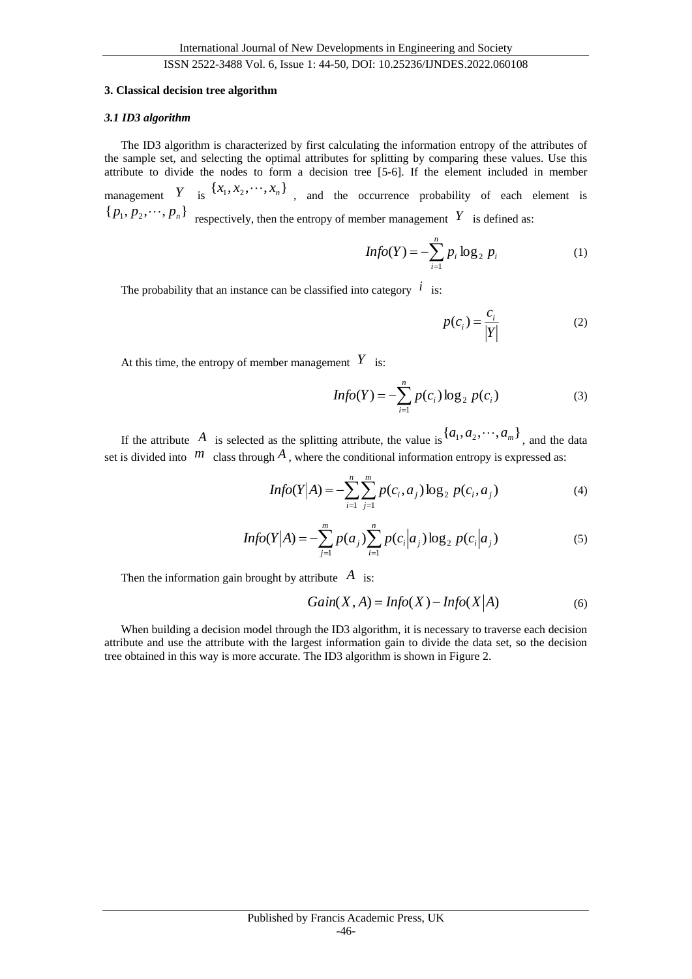#### **3. Classical decision tree algorithm**

#### *3.1 ID3 algorithm*

The ID3 algorithm is characterized by first calculating the information entropy of the attributes of the sample set, and selecting the optimal attributes for splitting by comparing these values. Use this attribute to divide the nodes to form a decision tree [5-6]. If the element included in member management *Y* is  $\{x_1, x_2, \dots, x_n\}$ , and the occurrence probability of each element is  $\{p_1, p_2, \dots, p_n\}$  respectively, then the entropy of member management Y is defined as:

$$
Info(Y) = -\sum_{i=1}^{n} p_i \log_2 p_i
$$
 (1)

The probability that an instance can be classified into category  $\ell$  is:

$$
p(c_i) = \frac{c_i}{|Y|} \tag{2}
$$

At this time, the entropy of member management  $Y$  is:

$$
Info(Y) = -\sum_{i=1}^{n} p(c_i) \log_2 p(c_i)
$$
 (3)

If the attribute A is selected as the splitting attribute, the value is  $\{a_1, a_2, \dots, a_m\}$ , and the data set is divided into  $m$  class through  $A$ , where the conditional information entropy is expressed as:

$$
Info(Y|A) = -\sum_{i=1}^{n} \sum_{j=1}^{m} p(c_i, a_j) \log_2 p(c_i, a_j)
$$
\n(4)

$$
Info(Y|A) = -\sum_{j=1}^{m} p(a_j) \sum_{i=1}^{n} p(c_i|a_j) \log_2 p(c_i|a_j)
$$
 (5)

Then the information gain brought by attribute *A* is:

$$
Gain(X, A) = Info(X) - Info(X|A)
$$
 (6)

When building a decision model through the ID3 algorithm, it is necessary to traverse each decision attribute and use the attribute with the largest information gain to divide the data set, so the decision tree obtained in this way is more accurate. The ID3 algorithm is shown in Figure 2.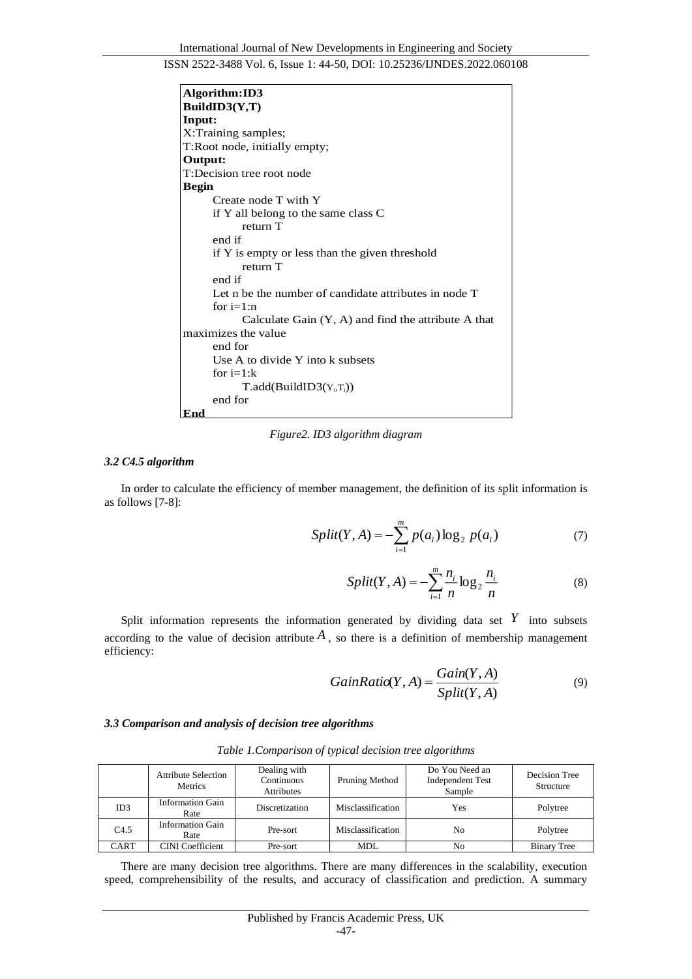| Algorithm:ID3                                         |  |  |  |  |  |
|-------------------------------------------------------|--|--|--|--|--|
| BuildID3(Y,T)                                         |  |  |  |  |  |
| Input:                                                |  |  |  |  |  |
| X:Training samples;                                   |  |  |  |  |  |
| T:Root node, initially empty;                         |  |  |  |  |  |
| Output:                                               |  |  |  |  |  |
| T:Decision tree root node                             |  |  |  |  |  |
| <b>Begin</b>                                          |  |  |  |  |  |
| Create node T with Y                                  |  |  |  |  |  |
| if Y all belong to the same class C                   |  |  |  |  |  |
| return T                                              |  |  |  |  |  |
| end if                                                |  |  |  |  |  |
| if Y is empty or less than the given threshold        |  |  |  |  |  |
| return T                                              |  |  |  |  |  |
| end if                                                |  |  |  |  |  |
| Let n be the number of candidate attributes in node T |  |  |  |  |  |
| for $i=1:n$                                           |  |  |  |  |  |
| Calculate Gain $(Y, A)$ and find the attribute A that |  |  |  |  |  |
| maximizes the value                                   |  |  |  |  |  |
| end for                                               |  |  |  |  |  |
| Use A to divide Y into k subsets                      |  |  |  |  |  |
| for $i=1:k$                                           |  |  |  |  |  |
| $T.add(BuildID3(Y_i,T_i))$                            |  |  |  |  |  |
| end for                                               |  |  |  |  |  |
| End                                                   |  |  |  |  |  |

*Figure2. ID3 algorithm diagram*

#### *3.2 C4.5 algorithm*

In order to calculate the efficiency of member management, the definition of its split information is as follows [7-8]:

$$
Split(Y, A) = -\sum_{i=1}^{m} p(a_i) \log_2 p(a_i)
$$
 (7)

$$
Split(Y, A) = -\sum_{i=1}^{m} \frac{n_i}{n} \log_2 \frac{n_i}{n}
$$
 (8)

Split information represents the information generated by dividing data set  $Y$  into subsets according to the value of decision attribute  $A$ , so there is a definition of membership management efficiency:

$$
GainRatio(Y, A) = \frac{Gain(Y, A)}{Split(Y, A)}
$$
(9)

## *3.3 Comparison and analysis of decision tree algorithms*

|      | <b>Attribute Selection</b><br>Metrics | Dealing with<br>Continuous<br>Attributes | Pruning Method    | Do You Need an<br><b>Independent Test</b><br>Sample | Decision Tree<br>Structure |
|------|---------------------------------------|------------------------------------------|-------------------|-----------------------------------------------------|----------------------------|
| ID3  | <b>Information Gain</b><br>Rate       | <b>Discretization</b>                    | Misclassification | Yes                                                 | Polytree                   |
| C4.5 | <b>Information Gain</b><br>Rate       | Pre-sort                                 | Misclassification | No                                                  | Polytree                   |
| CART | <b>CINI</b> Coefficient               | Pre-sort                                 | <b>MDL</b>        | No                                                  | <b>Binary Tree</b>         |

*Table 1.Comparison of typical decision tree algorithms*

There are many decision tree algorithms. There are many differences in the scalability, execution speed, comprehensibility of the results, and accuracy of classification and prediction. A summary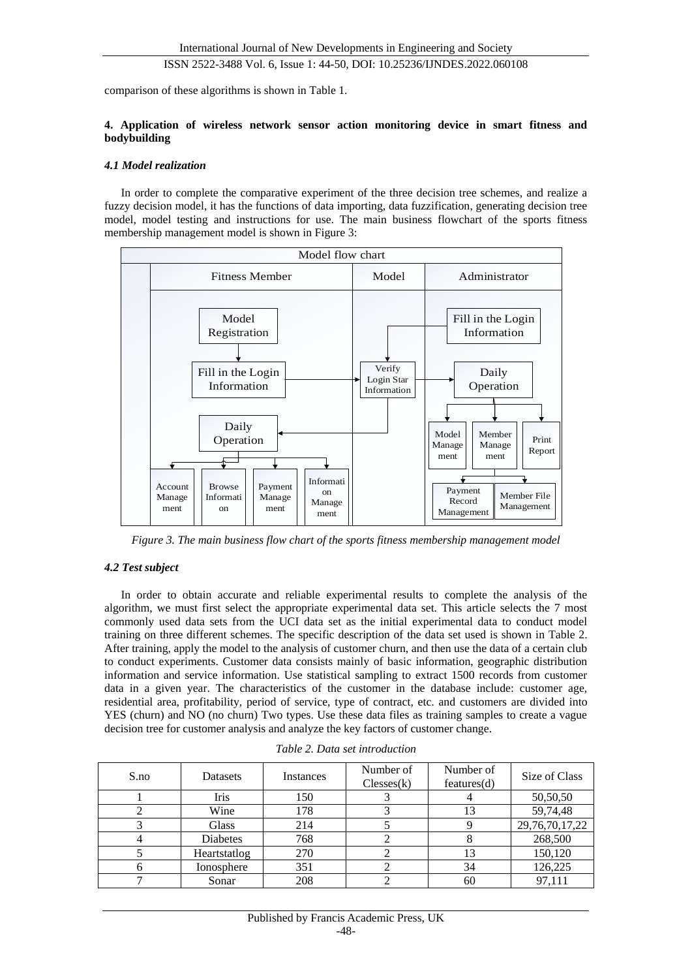comparison of these algorithms is shown in Table 1.

#### **4. Application of wireless network sensor action monitoring device in smart fitness and bodybuilding**

#### *4.1 Model realization*

In order to complete the comparative experiment of the three decision tree schemes, and realize a fuzzy decision model, it has the functions of data importing, data fuzzification, generating decision tree model, model testing and instructions for use. The main business flowchart of the sports fitness membership management model is shown in Figure 3:



*Figure 3. The main business flow chart of the sports fitness membership management model*

## *4.2 Test subject*

In order to obtain accurate and reliable experimental results to complete the analysis of the algorithm, we must first select the appropriate experimental data set. This article selects the 7 most commonly used data sets from the UCI data set as the initial experimental data to conduct model training on three different schemes. The specific description of the data set used is shown in Table 2. After training, apply the model to the analysis of customer churn, and then use the data of a certain club to conduct experiments. Customer data consists mainly of basic information, geographic distribution information and service information. Use statistical sampling to extract 1500 records from customer data in a given year. The characteristics of the customer in the database include: customer age, residential area, profitability, period of service, type of contract, etc. and customers are divided into YES (churn) and NO (no churn) Two types. Use these data files as training samples to create a vague decision tree for customer analysis and analyze the key factors of customer change.

| S.no | Datasets     | Instances | Number of<br>Clesses(k) | Number of<br>features(d) | Size of Class  |
|------|--------------|-----------|-------------------------|--------------------------|----------------|
|      | Iris         | 150       |                         |                          | 50,50,50       |
|      | Wine         | 178       |                         | 13                       | 59,74,48       |
|      | <b>Glass</b> | 214       |                         |                          | 29,76,70,17,22 |
|      | Diabetes     | 768       |                         |                          | 268,500        |
|      | Heartstatlog | 270       |                         | 13                       | 150,120        |
|      | Ionosphere   | 351       |                         | 34                       | 126,225        |
|      | Sonar        | 208       |                         | 60                       | 97,111         |

*Table 2. Data set introduction*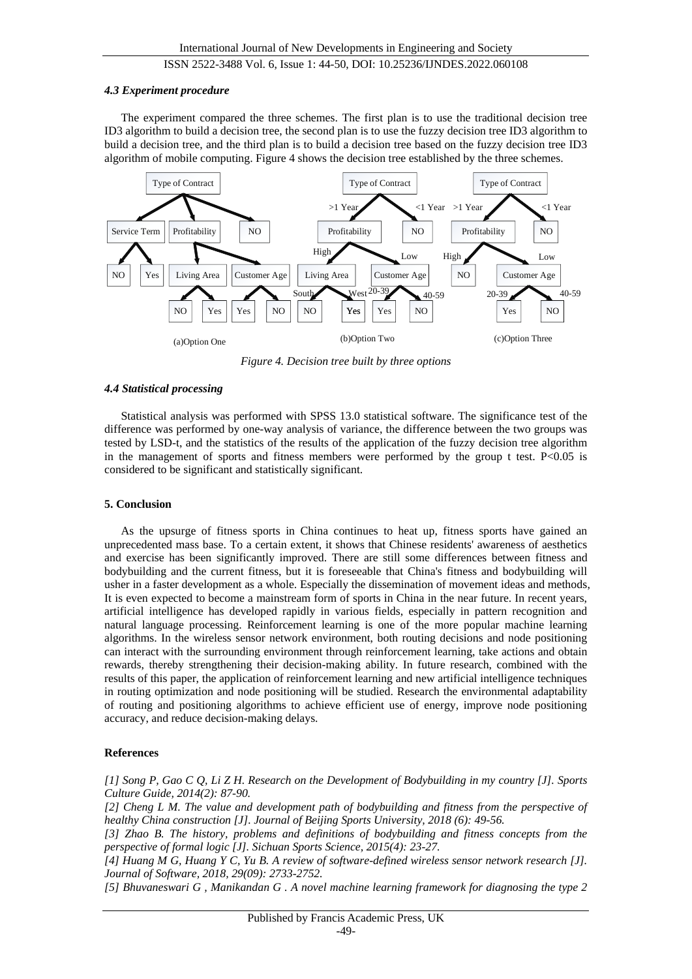#### *4.3 Experiment procedure*

The experiment compared the three schemes. The first plan is to use the traditional decision tree ID3 algorithm to build a decision tree, the second plan is to use the fuzzy decision tree ID3 algorithm to build a decision tree, and the third plan is to build a decision tree based on the fuzzy decision tree ID3 algorithm of mobile computing. Figure 4 shows the decision tree established by the three schemes.



*Figure 4. Decision tree built by three options*

## *4.4 Statistical processing*

Statistical analysis was performed with SPSS 13.0 statistical software. The significance test of the difference was performed by one-way analysis of variance, the difference between the two groups was tested by LSD-t, and the statistics of the results of the application of the fuzzy decision tree algorithm in the management of sports and fitness members were performed by the group t test.  $P<0.05$  is considered to be significant and statistically significant.

## **5. Conclusion**

As the upsurge of fitness sports in China continues to heat up, fitness sports have gained an unprecedented mass base. To a certain extent, it shows that Chinese residents' awareness of aesthetics and exercise has been significantly improved. There are still some differences between fitness and bodybuilding and the current fitness, but it is foreseeable that China's fitness and bodybuilding will usher in a faster development as a whole. Especially the dissemination of movement ideas and methods, It is even expected to become a mainstream form of sports in China in the near future. In recent years, artificial intelligence has developed rapidly in various fields, especially in pattern recognition and natural language processing. Reinforcement learning is one of the more popular machine learning algorithms. In the wireless sensor network environment, both routing decisions and node positioning can interact with the surrounding environment through reinforcement learning, take actions and obtain rewards, thereby strengthening their decision-making ability. In future research, combined with the results of this paper, the application of reinforcement learning and new artificial intelligence techniques in routing optimization and node positioning will be studied. Research the environmental adaptability of routing and positioning algorithms to achieve efficient use of energy, improve node positioning accuracy, and reduce decision-making delays.

# **References**

*[1] Song P, Gao C Q, Li Z H. Research on the Development of Bodybuilding in my country [J]. Sports Culture Guide, 2014(2): 87-90.*

*[2] Cheng L M. The value and development path of bodybuilding and fitness from the perspective of healthy China construction [J]. Journal of Beijing Sports University, 2018 (6): 49-56.*

*[3] Zhao B. The history, problems and definitions of bodybuilding and fitness concepts from the perspective of formal logic [J]. Sichuan Sports Science, 2015(4): 23-27.*

*[4] Huang M G, Huang Y C, Yu B. A review of software-defined wireless sensor network research [J]. Journal of Software, 2018, 29(09): 2733-2752.*

*[5] Bhuvaneswari G , Manikandan G . A novel machine learning framework for diagnosing the type 2*